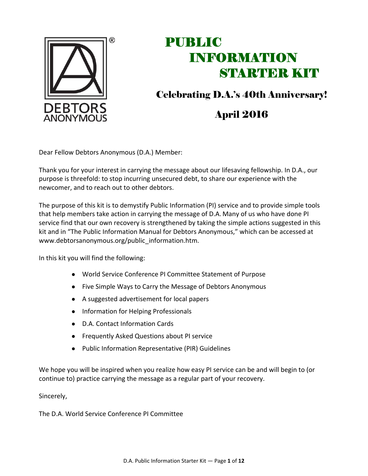

Celebrating D.A.'s 40th Anniversary!

### April 2016

Dear Fellow Debtors Anonymous (D.A.) Member:

Thank you for your interest in carrying the message about our lifesaving fellowship. In D.A., our purpose is threefold: to stop incurring unsecured debt, to share our experience with the newcomer, and to reach out to other debtors.

The purpose of this kit is to demystify Public Information (PI) service and to provide simple tools that help members take action in carrying the message of D.A. Many of us who have done PI service find that our own recovery is strengthened by taking the simple actions suggested in this kit and in "The Public Information Manual for Debtors Anonymous," which can be accessed at www.debtorsanonymous.org/public\_information.htm.

In this kit you will find the following:

- World Service Conference PI Committee Statement of Purpose
- Five Simple Ways to Carry the Message of Debtors Anonymous
- A suggested advertisement for local papers
- Information for Helping Professionals
- D.A. Contact Information Cards
- Frequently Asked Questions about PI service
- Public Information Representative (PIR) Guidelines

We hope you will be inspired when you realize how easy PI service can be and will begin to (or continue to) practice carrying the message as a regular part of your recovery.

Sincerely,

The D.A. World Service Conference PI Committee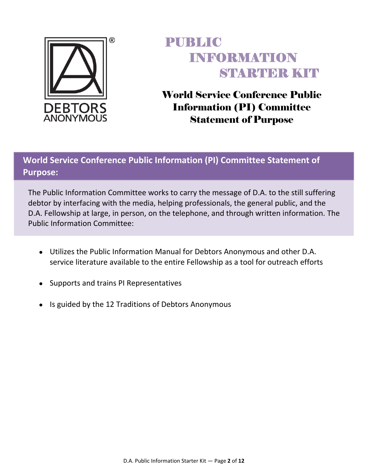

World Service Conference Public Information (PI) Committee Statement of Purpose

### **World Service Conference Public Information (PI) Committee Statement of Purpose:**

The Public Information Committee works to carry the message of D.A. to the still suffering debtor by interfacing with the media, helping professionals, the general public, and the D.A. Fellowship at large, in person, on the telephone, and through written information. The Public Information Committee:

- Utilizes the Public Information Manual for Debtors Anonymous and other D.A. service literature available to the entire Fellowship as a tool for outreach efforts
- Supports and trains PI Representatives
- Is guided by the 12 Traditions of Debtors Anonymous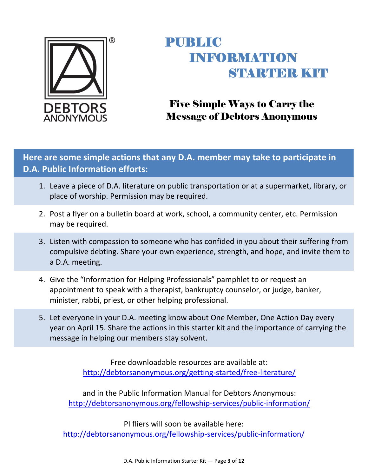

## Five Simple Ways to Carry the Message of Debtors Anonymous

**Here are some simple actions that any D.A. member may take to participate in D.A. Public Information efforts:**

- 1. Leave a piece of D.A. literature on public transportation or at a supermarket, library, or place of worship. Permission may be required.
- 2. Post a flyer on a bulletin board at work, school, a community center, etc. Permission may be required.
- 3. Listen with compassion to someone who has confided in you about their suffering from compulsive debting. Share your own experience, strength, and hope, and invite them to a D.A. meeting.
- 4. Give the "Information for Helping Professionals" pamphlet to or request an appointment to speak with a therapist, bankruptcy counselor, or judge, banker, minister, rabbi, priest, or other helping professional.
- 5. Let everyone in your D.A. meeting know about One Member, One Action Day every year on April 15. Share the actions in this starter kit and the importance of carrying the message in helping our members stay solvent.

Free downloadable resources are available at: http://debtorsanonymous.org/getting‐started/free‐literature/

and in the Public Information Manual for Debtors Anonymous: http://debtorsanonymous.org/fellowship-services/public-information/

PI fliers will soon be available here: http://debtorsanonymous.org/fellowship-services/public-information/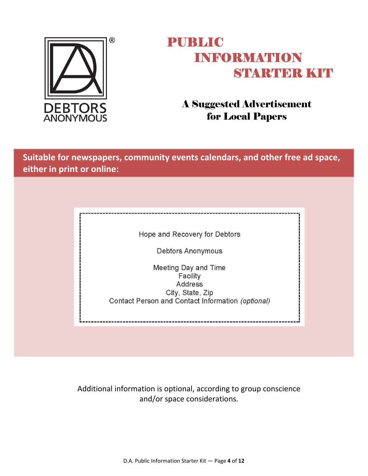

### A Suggested Advertisement for Local Papers

**Suitable for newspapers, community events calendars, and other free ad space, either in print or online:**

Hope and Recovery for Debtors

Debtors Anonymous

Meeting Day and Time Facility **Address** City, State, Zip Contact Person and Contact Information (optional)

Additional information is optional, according to group conscience and/or space considerations.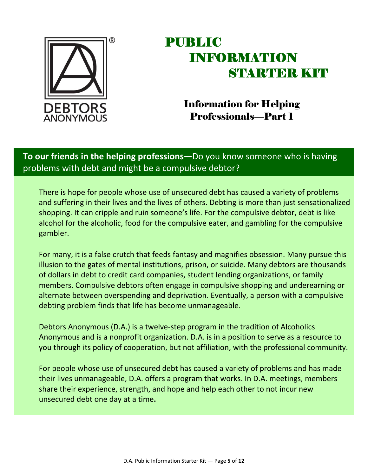

### Information for Helping Professionals—Part 1

### **To our friends in the helping professions—**Do you know someone who is having problems with debt and might be a compulsive debtor?

There is hope for people whose use of unsecured debt has caused a variety of problems and suffering in their lives and the lives of others. Debting is more than just sensationalized shopping. It can cripple and ruin someone's life. For the compulsive debtor, debt is like alcohol for the alcoholic, food for the compulsive eater, and gambling for the compulsive gambler.

For many, it is a false crutch that feeds fantasy and magnifies obsession. Many pursue this illusion to the gates of mental institutions, prison, or suicide. Many debtors are thousands of dollars in debt to credit card companies, student lending organizations, or family members. Compulsive debtors often engage in compulsive shopping and underearning or alternate between overspending and deprivation. Eventually, a person with a compulsive debting problem finds that life has become unmanageable.

Debtors Anonymous (D.A.) is a twelve‐step program in the tradition of Alcoholics Anonymous and is a nonprofit organization. D.A. is in a position to serve as a resource to you through its policy of cooperation, but not affiliation, with the professional community.

For people whose use of unsecured debt has caused a variety of problems and has made their lives unmanageable, D.A. offers a program that works. In D.A. meetings, members share their experience, strength, and hope and help each other to not incur new unsecured debt one day at a time**.**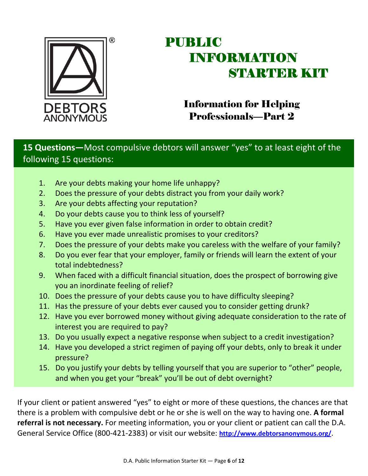

### Information for Helping Professionals—Part 2

### **15 Questions—**Most compulsive debtors will answer "yes" to at least eight of the following 15 questions:

- 1. Are your debts making your home life unhappy?
- 2. Does the pressure of your debts distract you from your daily work?
- 3. Are your debts affecting your reputation?
- 4. Do your debts cause you to think less of yourself?
- 5. Have you ever given false information in order to obtain credit?
- 6. Have you ever made unrealistic promises to your creditors?
- 7. Does the pressure of your debts make you careless with the welfare of your family?
- 8. Do you ever fear that your employer, family or friends will learn the extent of your total indebtedness?
- 9. When faced with a difficult financial situation, does the prospect of borrowing give you an inordinate feeling of relief?
- 10. Does the pressure of your debts cause you to have difficulty sleeping?
- 11. Has the pressure of your debts ever caused you to consider getting drunk?
- 12. Have you ever borrowed money without giving adequate consideration to the rate of interest you are required to pay?
- 13. Do you usually expect a negative response when subject to a credit investigation?
- 14. Have you developed a strict regimen of paying off your debts, only to break it under pressure?
- 15. Do you justify your debts by telling yourself that you are superior to "other" people, and when you get your "break" you'll be out of debt overnight?

If your client or patient answered "yes" to eight or more of these questions, the chances are that there is a problem with compulsive debt or he or she is well on the way to having one. **A formal referral is not necessary.** For meeting information, you or your client or patient can call the D.A. General Service Office (800‐421‐2383) or visit our website: **http://www.debtorsanonymous.org/**.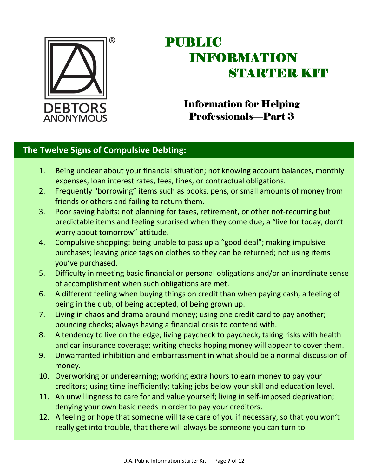

### Information for Helping Professionals—Part 3

#### **The Twelve Signs of Compulsive Debting:**

- 1. Being unclear about your financial situation; not knowing account balances, monthly expenses, loan interest rates, fees, fines, or contractual obligations.
- 2. Frequently "borrowing" items such as books, pens, or small amounts of money from friends or others and failing to return them.
- 3. Poor saving habits: not planning for taxes, retirement, or other not‐recurring but predictable items and feeling surprised when they come due; a "live for today, don't worry about tomorrow" attitude.
- 4. Compulsive shopping: being unable to pass up a "good deal"; making impulsive purchases; leaving price tags on clothes so they can be returned; not using items you've purchased.
- 5. Difficulty in meeting basic financial or personal obligations and/or an inordinate sense of accomplishment when such obligations are met.
- 6. A different feeling when buying things on credit than when paying cash, a feeling of being in the club, of being accepted, of being grown up.
- 7. Living in chaos and drama around money; using one credit card to pay another; bouncing checks; always having a financial crisis to contend with.
- 8. A tendency to live on the edge; living paycheck to paycheck; taking risks with health and car insurance coverage; writing checks hoping money will appear to cover them.
- 9. Unwarranted inhibition and embarrassment in what should be a normal discussion of money.
- 10. Overworking or underearning; working extra hours to earn money to pay your creditors; using time inefficiently; taking jobs below your skill and education level.
- 11. An unwillingness to care for and value yourself; living in self-imposed deprivation; denying your own basic needs in order to pay your creditors.
- 12. A feeling or hope that someone will take care of you if necessary, so that you won't really get into trouble, that there will always be someone you can turn to.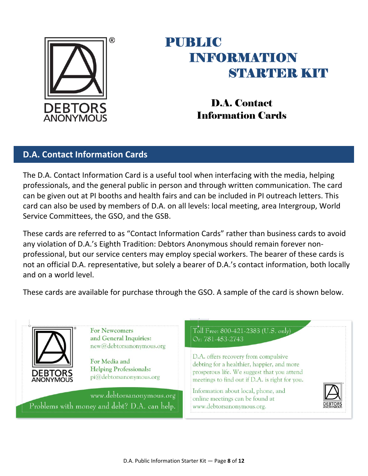

D.A. Contact Information Cards

### **D.A. Contact Information Cards**

The D.A. Contact Information Card is a useful tool when interfacing with the media, helping professionals, and the general public in person and through written communication. The card can be given out at PI booths and health fairs and can be included in PI outreach letters. This card can also be used by members of D.A. on all levels: local meeting, area Intergroup, World Service Committees, the GSO, and the GSB.

These cards are referred to as "Contact Information Cards" rather than business cards to avoid any violation of D.A.'s Eighth Tradition: Debtors Anonymous should remain forever nonprofessional, but our service centers may employ special workers. The bearer of these cards is not an official D.A. representative, but solely a bearer of D.A.'s contact information, both locally and on a world level.

These cards are available for purchase through the GSO. A sample of the card is shown below.

**For Newcomers** Toll Free: 800-421-2383 (U.S. only) and General Inquiries: Or: 781-453-2743 new@debtorsanonymous.org D.A. offers recovery from compulsive For Media and debting for a healthier, happier, and more **Helping Professionals:** prosperous life. We suggest that you attend DEBTO pi@debtorsanonymous.org **ANONYMOUS** meetings to find out if D.A. is right for you. Information about local, phone, and www.debtorsanonymous.org online meetings can be found at Problems with money and debt? D.A. can help. www.debtorsanonymous.org.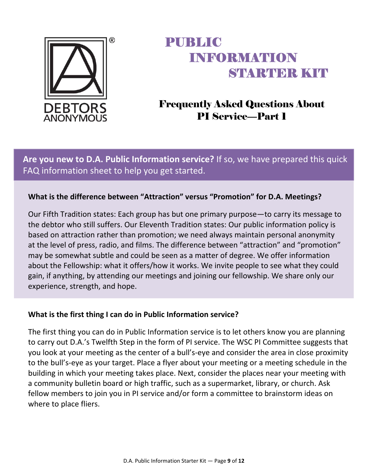

## Frequently Asked Questions About PI Service—Part 1

**Are you new to D.A. Public Information service?** If so, we have prepared this quick FAQ information sheet to help you get started.

#### **What is the difference between "Attraction" versus "Promotion" for D.A. Meetings?**

Our Fifth Tradition states: Each group has but one primary purpose—to carry its message to the debtor who still suffers. Our Eleventh Tradition states: Our public information policy is based on attraction rather than promotion; we need always maintain personal anonymity at the level of press, radio, and films. The difference between "attraction" and "promotion" may be somewhat subtle and could be seen as a matter of degree. We offer information about the Fellowship: what it offers/how it works. We invite people to see what they could gain, if anything, by attending our meetings and joining our fellowship. We share only our experience, strength, and hope.

#### **What is the first thing I can do in Public Information service?**

The first thing you can do in Public Information service is to let others know you are planning to carry out D.A.'s Twelfth Step in the form of PI service. The WSC PI Committee suggests that you look at your meeting as the center of a bull's‐eye and consider the area in close proximity to the bull's‐eye as your target. Place a flyer about your meeting or a meeting schedule in the building in which your meeting takes place. Next, consider the places near your meeting with a community bulletin board or high traffic, such as a supermarket, library, or church. Ask fellow members to join you in PI service and/or form a committee to brainstorm ideas on where to place fliers.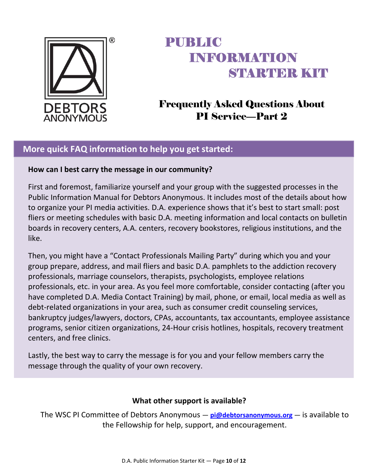

## Frequently Asked Questions About PI Service—Part 2

#### **More quick FAQ information to help you get started:**

#### **How can I best carry the message in our community?**

First and foremost, familiarize yourself and your group with the suggested processes in the Public Information Manual for Debtors Anonymous. It includes most of the details about how to organize your PI media activities. D.A. experience shows that it's best to start small: post fliers or meeting schedules with basic D.A. meeting information and local contacts on bulletin boards in recovery centers, A.A. centers, recovery bookstores, religious institutions, and the like.

Then, you might have a "Contact Professionals Mailing Party" during which you and your group prepare, address, and mail fliers and basic D.A. pamphlets to the addiction recovery professionals, marriage counselors, therapists, psychologists, employee relations professionals, etc. in your area. As you feel more comfortable, consider contacting (after you have completed D.A. Media Contact Training) by mail, phone, or email, local media as well as debt-related organizations in your area, such as consumer credit counseling services, bankruptcy judges/lawyers, doctors, CPAs, accountants, tax accountants, employee assistance programs, senior citizen organizations, 24‐Hour crisis hotlines, hospitals, recovery treatment centers, and free clinics.

Lastly, the best way to carry the message is for you and your fellow members carry the message through the quality of your own recovery.

#### **What other support is available?**

The WSC PI Committee of Debtors Anonymous — **pi@debtorsanonymous.org** — is available to the Fellowship for help, support, and encouragement.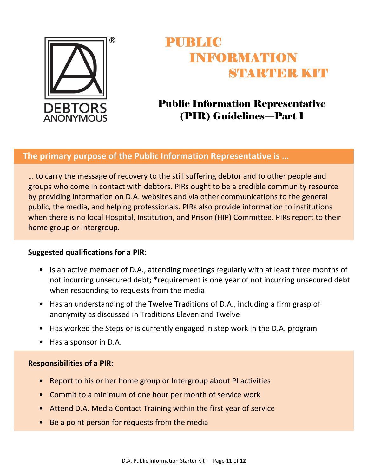

## Public Information Representative (PIR) Guidelines—Part 1

#### **The primary purpose of the Public Information Representative is …**

… to carry the message of recovery to the still suffering debtor and to other people and groups who come in contact with debtors. PIRs ought to be a credible community resource by providing information on D.A. websites and via other communications to the general public, the media, and helping professionals. PIRs also provide information to institutions when there is no local Hospital, Institution, and Prison (HIP) Committee. PIRs report to their home group or Intergroup.

#### **Suggested qualifications for a PIR:**

- Is an active member of D.A., attending meetings regularly with at least three months of not incurring unsecured debt; \*requirement is one year of not incurring unsecured debt when responding to requests from the media
- Has an understanding of the Twelve Traditions of D.A., including a firm grasp of anonymity as discussed in Traditions Eleven and Twelve
- Has worked the Steps or is currently engaged in step work in the D.A. program
- Has a sponsor in D.A.

#### **Responsibilities of a PIR:**

- Report to his or her home group or Intergroup about PI activities
- Commit to a minimum of one hour per month of service work
- Attend D.A. Media Contact Training within the first year of service
- Be a point person for requests from the media